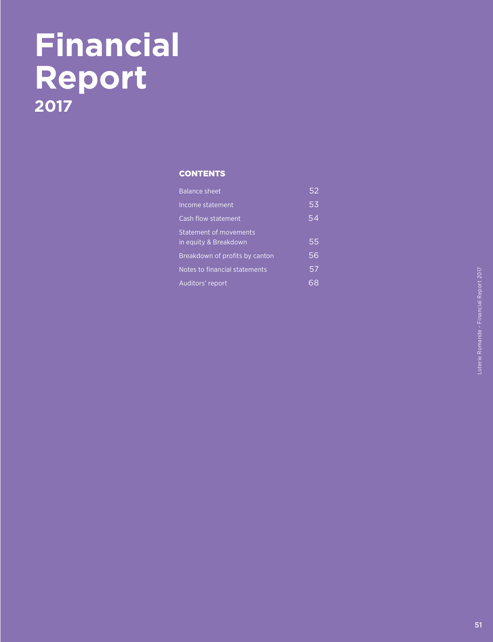#### $51$

# **Financial Report 2017**

#### **CONTENTS**

| <b>Balance sheet</b>                            | 52 |
|-------------------------------------------------|----|
| Income statement                                | 53 |
| Cash flow statement                             | 54 |
| Statement of movements<br>in equity & Breakdown | 55 |
| Breakdown of profits by canton                  | 56 |
| Notes to financial statements                   | 57 |
| Auditors' report                                |    |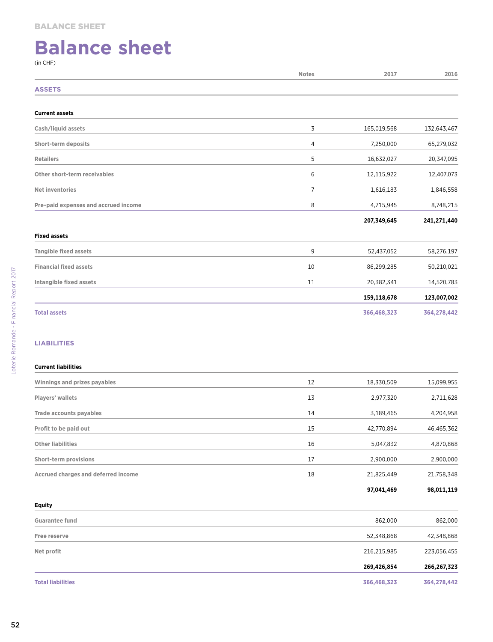### **Balance sheet**

| (in CHF)                             | <b>Notes</b>   | 2017                     | 2016        |
|--------------------------------------|----------------|--------------------------|-------------|
| <b>ASSETS</b>                        |                |                          |             |
|                                      |                |                          |             |
| <b>Current assets</b>                | 3              |                          |             |
| Cash/liquid assets                   |                | 165,019,568<br>7,250,000 | 132,643,467 |
| <b>Short-term deposits</b>           | 4              |                          | 65,279,032  |
| <b>Retailers</b>                     | 5              | 16,632,027               | 20,347,095  |
| Other short-term receivables         | 6              | 12,115,922               | 12,407,073  |
| <b>Net inventories</b>               | $\overline{7}$ | 1,616,183                | 1,846,558   |
| Pre-paid expenses and accrued income | 8              | 4,715,945                | 8,748,215   |
|                                      |                | 207,349,645              | 241,271,440 |
| <b>Fixed assets</b>                  |                |                          |             |
| <b>Tangible fixed assets</b>         | 9              | 52,437,052               | 58,276,197  |
| <b>Financial fixed assets</b>        | 10             | 86,299,285               | 50,210,021  |
| <b>Intangible fixed assets</b>       | 11             | 20,382,341               | 14,520,783  |
|                                      |                | 159,118,678              | 123,007,002 |
| <b>Total assets</b>                  |                | 366,468,323              | 364,278,442 |
| <b>LIABILITIES</b>                   |                |                          |             |
| <b>Current liabilities</b>           |                |                          |             |
| Winnings and prizes payables         | 12             | 18,330,509               | 15,099,955  |
| Players' wallets                     | 13             | 2,977,320                | 2,711,628   |
| <b>Trade accounts payables</b>       | 14             | 3,189,465                | 4,204,958   |
| Profit to be paid out                | 15             | 42,770,894               | 46,465,362  |
| <b>Other liabilities</b>             | $16\,$         | 5,047,832                | 4,870,868   |
| Short-term provisions                | 17             | 2,900,000                | 2,900,000   |
| Accrued charges and deferred income  | 18             | 21,825,449               | 21,758,348  |
|                                      |                | 97,041,469               | 98,011,119  |
| <b>Equity</b>                        |                |                          |             |
| <b>Guarantee fund</b>                |                | 862,000                  | 862,000     |
| <b>Free reserve</b>                  |                | 52,348,868               | 42,348,868  |
| Net profit                           |                | 216,215,985              | 223,056,455 |
|                                      |                | 269,426,854              | 266,267,323 |
| <b>Total liabilities</b>             |                | 366,468,323              | 364,278,442 |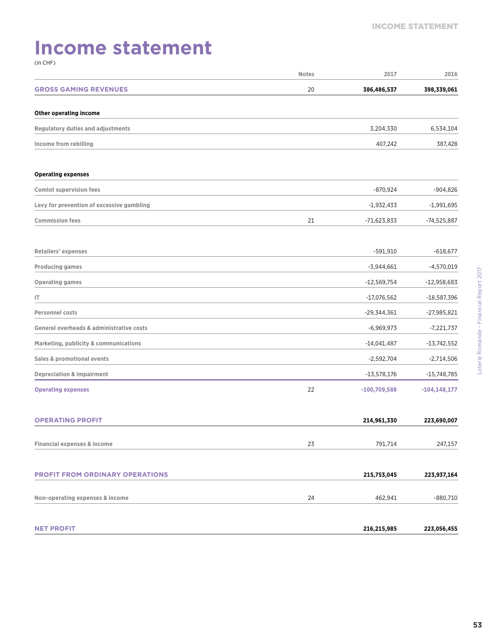### **Income statement** (in CHF)

| $\frac{1}{2}$                             | <b>Notes</b> | 2017           | 2016             |
|-------------------------------------------|--------------|----------------|------------------|
| <b>GROSS GAMING REVENUES</b>              | 20           | 386,486,537    | 398,339,061      |
| Other operating income                    |              |                |                  |
| <b>Regulatory duties and adjustments</b>  |              | 3,204,330      | 6,534,104        |
| Income from rebilling                     |              | 407,242        | 387,428          |
| <b>Operating expenses</b>                 |              |                |                  |
| <b>Comlot supervision fees</b>            |              | $-870,924$     | -904,826         |
| Levy for prevention of excessive gambling |              | $-1,932,433$   | $-1,991,695$     |
| <b>Commission fees</b>                    | 21           | $-71,623,833$  | $-74,525,887$    |
| Retailers' expenses                       |              | $-591,910$     | $-618,677$       |
| <b>Producing games</b>                    |              | $-3,944,661$   | $-4,570,019$     |
| <b>Operating games</b>                    |              | $-12,569,754$  | $-12,958,683$    |
| IT                                        |              | $-17,076,562$  | -18,587,396      |
| <b>Personnel costs</b>                    |              | $-29,344,361$  | $-27,985,821$    |
| General overheads & administrative costs  |              | $-6,969,973$   | $-7,221,737$     |
| Marketing, publicity & communications     |              | $-14,041,487$  | $-13,742,552$    |
| <b>Sales &amp; promotional events</b>     |              | $-2,592,704$   | $-2,714,506$     |
| <b>Depreciation &amp; impairment</b>      |              | $-13,578,176$  | $-15,748,785$    |
| <b>Operating expenses</b>                 | 22           | $-100,709,588$ | $-104, 148, 177$ |
| <b>OPERATING PROFIT</b>                   |              | 214,961,330    | 223,690,007      |
| <b>Financial expenses &amp; income</b>    | 23           | 791,714        | 247,157          |
| <b>PROFIT FROM ORDINARY OPERATIONS</b>    |              | 215,753,045    | 223,937,164      |
| Non-operating expenses & income           | 24           | 462,941        | $-880,710$       |
| <b>NET PROFIT</b>                         |              | 216,215,985    | 223,056,455      |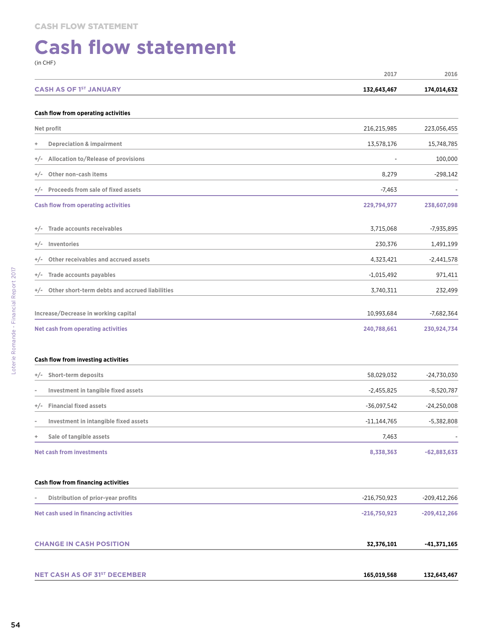### **Cash flow statement**  (in CHF)

|                                                         | 2017           | 2016           |
|---------------------------------------------------------|----------------|----------------|
| <b>CASH AS OF 1ST JANUARY</b>                           | 132,643,467    | 174,014,632    |
| Cash flow from operating activities                     |                |                |
| Net profit                                              | 216,215,985    | 223,056,455    |
| <b>Depreciation &amp; impairment</b>                    | 13,578,176     | 15,748,785     |
| Allocation to/Release of provisions<br>$+/-$            |                | 100,000        |
| Other non-cash items<br>$+/-$                           | 8,279          | $-298,142$     |
| Proceeds from sale of fixed assets<br>$+/-$             | $-7,463$       |                |
| <b>Cash flow from operating activities</b>              | 229,794,977    | 238,607,098    |
| <b>Trade accounts receivables</b><br>$+/-$              | 3,715,068      | $-7,935,895$   |
| $+/-$<br><b>Inventories</b>                             | 230,376        | 1,491,199      |
| Other receivables and accrued assets<br>$+/-$           | 4,323,421      | $-2,441,578$   |
| <b>Trade accounts payables</b><br>$+/-$                 | $-1,015,492$   | 971,411        |
| Other short-term debts and accrued liabilities<br>$+/-$ | 3,740,311      | 232,499        |
| Increase/Decrease in working capital                    | 10,993,684     | $-7,682,364$   |
| <b>Net cash from operating activities</b>               | 240,788,661    | 230,924,734    |
| Cash flow from investing activities                     |                |                |
| <b>Short-term deposits</b><br>$+/-$                     | 58,029,032     | -24,730,030    |
| Investment in tangible fixed assets                     | $-2,455,825$   | $-8,520,787$   |
| <b>Financial fixed assets</b><br>$+/-$                  | -36,097,542    | $-24,250,008$  |
| Investment in intangible fixed assets                   | $-11,144,765$  | $-5,382,808$   |
| Sale of tangible assets                                 | 7,463          |                |
| <b>Net cash from investments</b>                        | 8,338,363      | $-62,883,633$  |
| Cash flow from financing activities                     |                |                |
| Distribution of prior-year profits                      | $-216,750,923$ | $-209,412,266$ |
| Net cash used in financing activities                   | $-216,750,923$ | $-209,412,266$ |
| <b>CHANGE IN CASH POSITION</b>                          | 32,376,101     | $-41,371,165$  |
| <b>NET CASH AS OF 31ST DECEMBER</b>                     | 165,019,568    | 132,643,467    |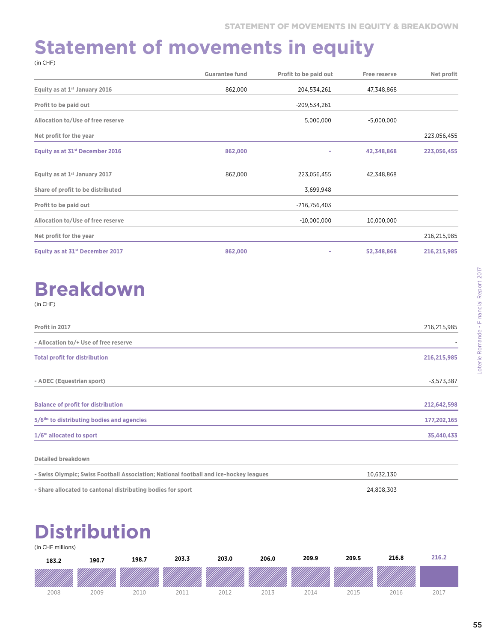### **Statement of movements in equity** (in CHF)

|                                             | <b>Guarantee fund</b> | Profit to be paid out | <b>Free reserve</b> | Net profit  |
|---------------------------------------------|-----------------------|-----------------------|---------------------|-------------|
| Equity as at $1st$ January 2016             | 862,000               | 204,534,261           | 47,348,868          |             |
| Profit to be paid out                       |                       | $-209,534,261$        |                     |             |
| Allocation to/Use of free reserve           |                       | 5,000,000             | $-5,000,000$        |             |
| Net profit for the year                     |                       |                       |                     | 223,056,455 |
| Equity as at 31 <sup>st</sup> December 2016 | 862,000               | ٠                     | 42,348,868          | 223,056,455 |
| Equity as at 1st January 2017               | 862,000               | 223,056,455           | 42,348,868          |             |
| Share of profit to be distributed           |                       | 3,699,948             |                     |             |
| Profit to be paid out                       |                       | $-216,756,403$        |                     |             |
| Allocation to/Use of free reserve           |                       | $-10,000,000$         | 10,000,000          |             |
| Net profit for the year                     |                       |                       |                     | 216,215,985 |
| Equity as at 31 <sup>st</sup> December 2017 | 862,000               |                       | 52,348,868          | 216,215,985 |

## **Breakdown**

(in CHF)

| Profit in 2017                                         | 216,215,985  |
|--------------------------------------------------------|--------------|
| - Allocation to/+ Use of free reserve                  |              |
| <b>Total profit for distribution</b>                   | 216,215,985  |
| - ADEC (Equestrian sport)                              | $-3,573,387$ |
| <b>Balance of profit for distribution</b>              | 212,642,598  |
| 5/6 <sup>ths</sup> to distributing bodies and agencies | 177,202,165  |
| $1/6th$ allocated to sport                             | 35,440,433   |
| <b>Detailed breakdown</b>                              |              |

| - Swiss Olympic: Swiss Football Association: National football and ice-hockey leagues | 10.632.130 |
|---------------------------------------------------------------------------------------|------------|
| - Share allocated to cantonal distributing bodies for sport                           | 24.808.303 |

## **Distribution**

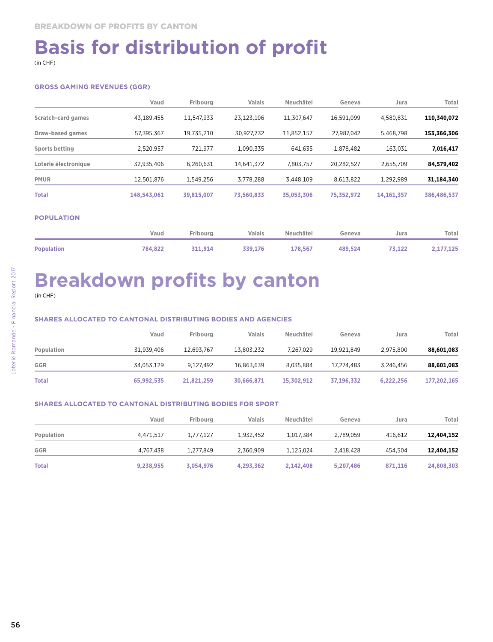## **Basis for distribution of profit**

(in CHF)

#### **GROSS GAMING REVENUES (GGR)**

|                           | Vaud        | Fribourg   | Valais     | Neuchâtel  | Geneva     | Jura         | Total       |
|---------------------------|-------------|------------|------------|------------|------------|--------------|-------------|
| <b>Scratch-card games</b> | 43,189,455  | 11,547,933 | 23,123,106 | 11,307,647 | 16,591,099 | 4,580,831    | 110,340,072 |
| <b>Draw-based games</b>   | 57,395,367  | 19,735,210 | 30,927,732 | 11,852,157 | 27,987,042 | 5,468,798    | 153,366,306 |
| Sports betting            | 2,520,957   | 721,977    | 1,090,335  | 641,635    | 1,878,482  | 163,031      | 7,016,417   |
| Loterie électronique      | 32,935,406  | 6,260,631  | 14,641,372 | 7,803,757  | 20,282,527 | 2,655,709    | 84,579,402  |
| <b>PMUR</b>               | 12,501,876  | 1,549,256  | 3,778,288  | 3,448,109  | 8,613,822  | 1,292,989    | 31,184,340  |
| <b>Total</b>              | 148,543,061 | 39,815,007 | 73,560,833 | 35,053,306 | 75,352,972 | 14, 161, 357 | 386,486,537 |
| <b>POPULATION</b>         |             |            |            |            |            |              |             |
|                           | Vaud        | Fribourg   | Valais     | Neuchâtel  | Geneva     | Jura         | Total       |
| <b>Population</b>         | 784,822     | 311,914    | 339,176    | 178,567    | 489,524    | 73,122       | 2,177,125   |

### **Breakdown profits by canton** (in CHF)

#### **SHARES ALLOCATED TO CANTONAL DISTRIBUTING BODIES AND AGENCIES**

|              | Vaud       | Fribourg   | Valais     | Neuchâtel  | Geneva     | Jura      | Total       |
|--------------|------------|------------|------------|------------|------------|-----------|-------------|
| Population   | 31,939,406 | 12.693.767 | 13,803,232 | 7.267.029  | 19.921.849 | 2.975.800 | 88,601,083  |
| GGR          | 34,053,129 | 9.127.492  | 16.863.639 | 8.035.884  | 17.274.483 | 3.246.456 | 88,601,083  |
| <b>Total</b> | 65,992,535 | 21,821,259 | 30,666,871 | 15,302,912 | 37,196,332 | 6,222,256 | 177,202,165 |

#### **SHARES ALLOCATED TO CANTONAL DISTRIBUTING BODIES FOR SPORT**

|              | Vaud      | Fribourg  | <b>Valais</b> | Neuchâtel | Geneva    | Jura    | Total      |
|--------------|-----------|-----------|---------------|-----------|-----------|---------|------------|
| Population   | 4,471,517 | 1.777.127 | 1.932.452     | 1.017.384 | 2.789.059 | 416.612 | 12,404,152 |
| GGR          | 4.767.438 | 1.277.849 | 2.360.909     | 1.125.024 | 2.418.428 | 454.504 | 12,404,152 |
| <b>Total</b> | 9,238,955 | 3,054,976 | 4,293,362     | 2,142,408 | 5,207,486 | 871,116 | 24,808,303 |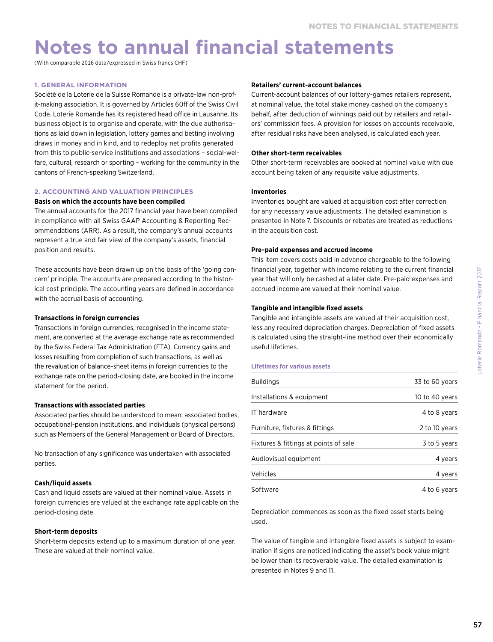## **Notes to annual financial statements**

(With comparable 2016 data/expressed in Swiss francs CHF)

#### **1. GENERAL INFORMATION**

Société de la Loterie de la Suisse Romande is a private-law non-profit-making association. It is governed by Articles 60ff of the Swiss Civil Code. Loterie Romande has its registered head office in Lausanne. Its business object is to organise and operate, with the due authorisations as laid down in legislation, lottery games and betting involving draws in money and in kind, and to redeploy net profits generated from this to public-service institutions and associations – social-welfare, cultural, research or sporting – working for the community in the cantons of French-speaking Switzerland.

#### **2. ACCOUNTING AND VALUATION PRINCIPLES**

#### **Basis on which the accounts have been compiled**

The annual accounts for the 2017 financial year have been compiled in compliance with all Swiss GAAP Accounting & Reporting Recommendations (ARR). As a result, the company's annual accounts represent a true and fair view of the company's assets, financial position and results.

These accounts have been drawn up on the basis of the 'going concern' principle. The accounts are prepared according to the historical cost principle. The accounting years are defined in accordance with the accrual basis of accounting.

#### **Transactions in foreign currencies**

Transactions in foreign currencies, recognised in the income statement, are converted at the average exchange rate as recommended by the Swiss Federal Tax Administration (FTA). Currency gains and losses resulting from completion of such transactions, as well as the revaluation of balance-sheet items in foreign currencies to the exchange rate on the period-closing date, are booked in the income statement for the period.

#### **Transactions with associated parties**

Associated parties should be understood to mean: associated bodies, occupational-pension institutions, and individuals (physical persons) such as Members of the General Management or Board of Directors.

No transaction of any significance was undertaken with associated parties.

#### **Cash/liquid assets**

Cash and liquid assets are valued at their nominal value. Assets in foreign currencies are valued at the exchange rate applicable on the period-closing date.

#### **Short-term deposits**

Short-term deposits extend up to a maximum duration of one year. These are valued at their nominal value.

#### **Retailers' current-account balances**

Current-account balances of our lottery-games retailers represent, at nominal value, the total stake money cashed on the company's behalf, after deduction of winnings paid out by retailers and retailers' commission fees. A provision for losses on accounts receivable, after residual risks have been analysed, is calculated each year.

#### **Other short-term receivables**

Other short-term receivables are booked at nominal value with due account being taken of any requisite value adjustments.

#### **Inventories**

Inventories bought are valued at acquisition cost after correction for any necessary value adjustments. The detailed examination is presented in Note 7. Discounts or rebates are treated as reductions in the acquisition cost.

#### **Pre-paid expenses and accrued income**

This item covers costs paid in advance chargeable to the following financial year, together with income relating to the current financial year that will only be cashed at a later date. Pre-paid expenses and accrued income are valued at their nominal value.

#### **Tangible and intangible fixed assets**

Tangible and intangible assets are valued at their acquisition cost, less any required depreciation charges. Depreciation of fixed assets is calculated using the straight-line method over their economically useful lifetimes.

#### **Lifetimes for various assets**

| <b>Buildings</b>                      | 33 to 60 years |
|---------------------------------------|----------------|
| Installations & equipment             | 10 to 40 years |
| IT hardware                           | 4 to 8 years   |
| Furniture, fixtures & fittings        | 2 to 10 years  |
| Fixtures & fittings at points of sale | 3 to 5 years   |
| Audiovisual equipment                 | 4 years        |
| Vehicles                              | 4 years        |
| Software                              | 4 to 6 years   |

Depreciation commences as soon as the fixed asset starts being used.

The value of tangible and intangible fixed assets is subject to examination if signs are noticed indicating the asset's book value might be lower than its recoverable value. The detailed examination is presented in Notes 9 and 11.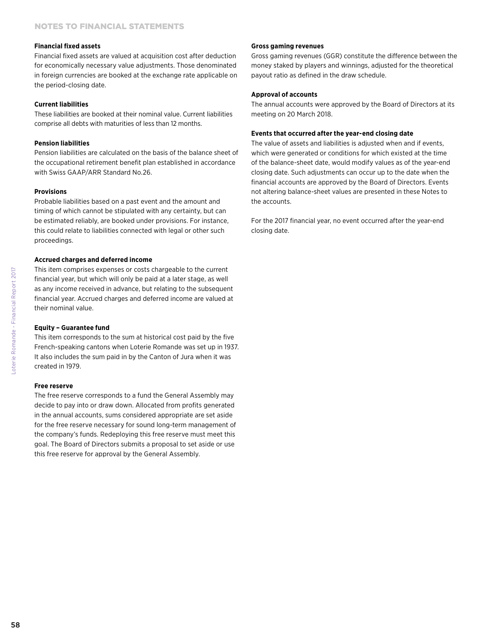#### **Financial fixed assets**

Financial fixed assets are valued at acquisition cost after deduction for economically necessary value adjustments. Those denominated in foreign currencies are booked at the exchange rate applicable on the period-closing date.

#### **Current liabilities**

These liabilities are booked at their nominal value. Current liabilities comprise all debts with maturities of less than 12 months.

#### **Pension liabilities**

Pension liabilities are calculated on the basis of the balance sheet of the occupational retirement benefit plan established in accordance with Swiss GAAP/ARR Standard No.26.

#### **Provisions**

Probable liabilities based on a past event and the amount and timing of which cannot be stipulated with any certainty, but can be estimated reliably, are booked under provisions. For instance, this could relate to liabilities connected with legal or other such proceedings.

#### **Accrued charges and deferred income**

This item comprises expenses or costs chargeable to the current financial year, but which will only be paid at a later stage, as well as any income received in advance, but relating to the subsequent financial year. Accrued charges and deferred income are valued at their nominal value.

#### **Equity – Guarantee fund**

This item corresponds to the sum at historical cost paid by the five French-speaking cantons when Loterie Romande was set up in 1937. It also includes the sum paid in by the Canton of Jura when it was created in 1979.

#### **Free reserve**

The free reserve corresponds to a fund the General Assembly may decide to pay into or draw down. Allocated from profits generated in the annual accounts, sums considered appropriate are set aside for the free reserve necessary for sound long-term management of the company's funds. Redeploying this free reserve must meet this goal. The Board of Directors submits a proposal to set aside or use this free reserve for approval by the General Assembly.

#### **Gross gaming revenues**

Gross gaming revenues (GGR) constitute the diference between the money staked by players and winnings, adjusted for the theoretical payout ratio as defined in the draw schedule.

#### **Approval of accounts**

The annual accounts were approved by the Board of Directors at its meeting on 20 March 2018.

#### **Events that occurred after the year-end closing date**

The value of assets and liabilities is adjusted when and if events, which were generated or conditions for which existed at the time of the balance-sheet date, would modify values as of the year-end closing date. Such adjustments can occur up to the date when the financial accounts are approved by the Board of Directors. Events not altering balance-sheet values are presented in these Notes to the accounts.

For the 2017 financial year, no event occurred after the year-end closing date.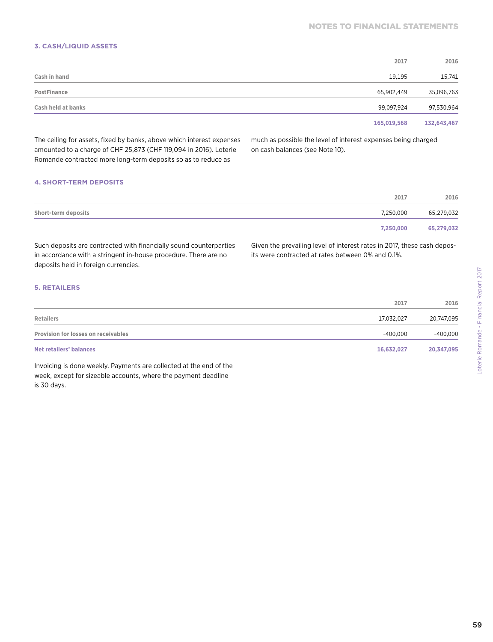#### **3. CASH/LIQUID ASSETS**

|                    | 2017        | 2016        |
|--------------------|-------------|-------------|
| Cash in hand       | 19,195      | 15,741      |
| PostFinance        | 65,902,449  | 35,096,763  |
| Cash held at banks | 99,097,924  | 97,530,964  |
|                    | 165,019,568 | 132,643,467 |

The ceiling for assets, fixed by banks, above which interest expenses amounted to a charge of CHF 25,873 (CHF 119,094 in 2016). Loterie Romande contracted more long-term deposits so as to reduce as

much as possible the level of interest expenses being charged on cash balances (see Note 10).

#### **4. SHORT-TERM DEPOSITS**

|                     | 2017      | 2016       |
|---------------------|-----------|------------|
| Short-term deposits | 7,250,000 | 65,279,032 |
|                     | 7.250.000 | 65,279,032 |

Such deposits are contracted with financially sound counterparties in accordance with a stringent in-house procedure. There are no deposits held in foreign currencies.

Given the prevailing level of interest rates in 2017, these cash deposits were contracted at rates between 0% and 0.1%.

#### **5. RETAILERS**

|                                     | 2017       | 2016       |
|-------------------------------------|------------|------------|
| <b>Retailers</b>                    | 17,032,027 | 20,747,095 |
| Provision for losses on receivables | $-400.000$ | $-400,000$ |
| Net retailers' balances             | 16,632,027 | 20,347,095 |

Invoicing is done weekly. Payments are collected at the end of the week, except for sizeable accounts, where the payment deadline is 30 days.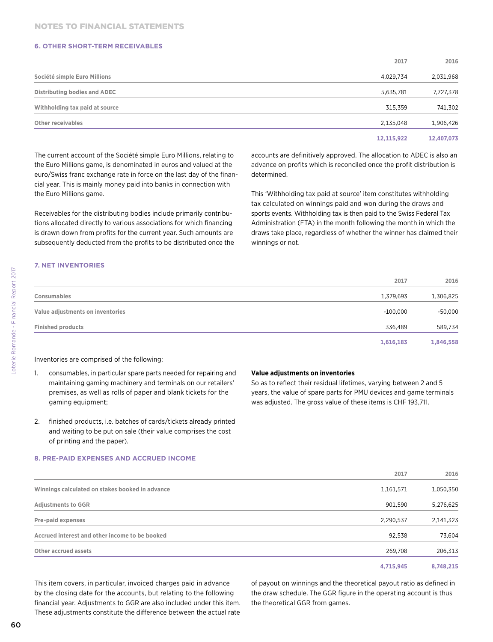#### NOTES TO FINANCIAL STATEMENTS

#### **6. OTHER SHORT-TERM RECEIVABLES**

|                                     | 2017       | 2016       |
|-------------------------------------|------------|------------|
| Société simple Euro Millions        | 4,029,734  | 2,031,968  |
| <b>Distributing bodies and ADEC</b> | 5,635,781  | 7,727,378  |
| Withholding tax paid at source      | 315,359    | 741,302    |
| <b>Other receivables</b>            | 2,135,048  | 1,906,426  |
|                                     | 12,115,922 | 12,407,073 |

The current account of the Société simple Euro Millions, relating to the Euro Millions game, is denominated in euros and valued at the euro/Swiss franc exchange rate in force on the last day of the financial year. This is mainly money paid into banks in connection with the Euro Millions game.

Receivables for the distributing bodies include primarily contributions allocated directly to various associations for which financing is drawn down from profits for the current year. Such amounts are subsequently deducted from the profits to be distributed once the accounts are definitively approved. The allocation to ADEC is also an advance on profits which is reconciled once the profit distribution is determined.

This 'Withholding tax paid at source' item constitutes withholding tax calculated on winnings paid and won during the draws and sports events. Withholding tax is then paid to the Swiss Federal Tax Administration (FTA) in the month following the month in which the draws take place, regardless of whether the winner has claimed their winnings or not.

#### **7. NET INVENTORIES**

|                                  | 2017       | 2016      |
|----------------------------------|------------|-----------|
| <b>Consumables</b>               | 1,379,693  | 1,306,825 |
| Value adjustments on inventories | $-100.000$ | $-50,000$ |
| <b>Finished products</b>         | 336.489    | 589,734   |
|                                  | 1,616,183  | 1,846,558 |

#### Inventories are comprised of the following:

- 1. consumables, in particular spare parts needed for repairing and maintaining gaming machinery and terminals on our retailers' premises, as well as rolls of paper and blank tickets for the gaming equipment;
- 2. finished products, i.e. batches of cards/tickets already printed and waiting to be put on sale (their value comprises the cost of printing and the paper).

#### **8. PRE-PAID EXPENSES AND ACCRUED INCOME**

#### **Value adjustments on inventories**

So as to reflect their residual lifetimes, varying between 2 and 5 years, the value of spare parts for PMU devices and game terminals was adjusted. The gross value of these items is CHF 193,711.

|                                                 | 2017      | 2016      |
|-------------------------------------------------|-----------|-----------|
| Winnings calculated on stakes booked in advance | 1,161,571 | 1,050,350 |
| <b>Adjustments to GGR</b>                       | 901,590   | 5,276,625 |
| <b>Pre-paid expenses</b>                        | 2,290,537 | 2,141,323 |
| Accrued interest and other income to be booked  | 92,538    | 73,604    |
| Other accrued assets                            | 269,708   | 206,313   |
|                                                 | 4,715,945 | 8,748,215 |

This item covers, in particular, invoiced charges paid in advance by the closing date for the accounts, but relating to the following financial year. Adjustments to GGR are also included under this item. These adjustments constitute the diference between the actual rate

of payout on winnings and the theoretical payout ratio as defined in the draw schedule. The GGR figure in the operating account is thus the theoretical GGR from games.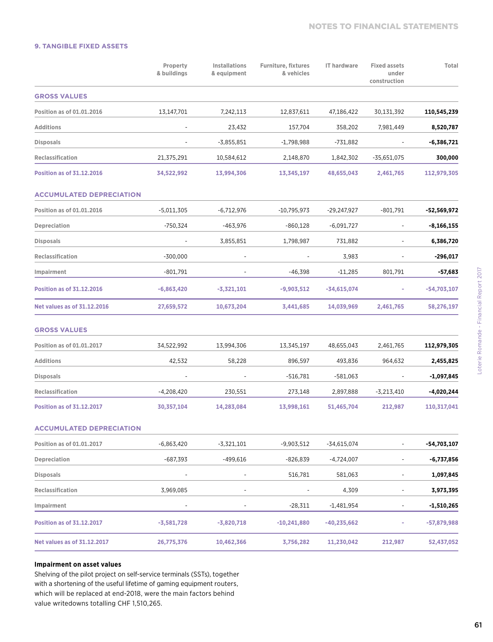#### **9. TANGIBLE FIXED ASSETS**

|                                    | Property<br>& buildings | <b>Installations</b><br>& equipment | Furniture, fixtures<br>& vehicles | <b>IT hardware</b> | <b>Fixed assets</b><br>under<br>construction | Total          |
|------------------------------------|-------------------------|-------------------------------------|-----------------------------------|--------------------|----------------------------------------------|----------------|
| <b>GROSS VALUES</b>                |                         |                                     |                                   |                    |                                              |                |
| Position as of 01.01.2016          | 13,147,701              | 7,242,113                           | 12,837,611                        | 47,186,422         | 30,131,392                                   | 110,545,239    |
| <b>Additions</b>                   |                         | 23,432                              | 157,704                           | 358,202            | 7,981,449                                    | 8,520,787      |
| <b>Disposals</b>                   |                         | $-3,855,851$                        | $-1,798,988$                      | $-731,882$         |                                              | $-6,386,721$   |
| Reclassification                   | 21,375,291              | 10,584,612                          | 2,148,870                         | 1,842,302          | $-35,651,075$                                | 300,000        |
| <b>Position as of 31.12.2016</b>   | 34,522,992              | 13,994,306                          | 13,345,197                        | 48,655,043         | 2,461,765                                    | 112,979,305    |
| <b>ACCUMULATED DEPRECIATION</b>    |                         |                                     |                                   |                    |                                              |                |
| Position as of 01.01.2016          | $-5,011,305$            | $-6,712,976$                        | $-10,795,973$                     | -29,247,927        | $-801,791$                                   | -52,569,972    |
| Depreciation                       | $-750,324$              | $-463,976$                          | $-860,128$                        | $-6,091,727$       |                                              | $-8, 166, 155$ |
| <b>Disposals</b>                   |                         | 3,855,851                           | 1,798,987                         | 731,882            |                                              | 6,386,720      |
| Reclassification                   | $-300,000$              | ÷,                                  |                                   | 3,983              |                                              | $-296,017$     |
| Impairment                         | $-801,791$              | $\overline{\phantom{a}}$            | $-46,398$                         | $-11,285$          | 801,791                                      | -57,683        |
| <b>Position as of 31.12.2016</b>   | $-6,863,420$            | $-3,321,101$                        | $-9,903,512$                      | $-34,615,074$      |                                              | $-54,703,107$  |
| <b>Net values as of 31.12.2016</b> | 27,659,572              | 10,673,204                          | 3,441,685                         | 14,039,969         | 2,461,765                                    | 58,276,197     |
| <b>GROSS VALUES</b>                |                         |                                     |                                   |                    |                                              |                |
| Position as of 01.01.2017          | 34,522,992              | 13,994,306                          | 13,345,197                        | 48,655,043         | 2,461,765                                    | 112,979,305    |
| <b>Additions</b>                   | 42,532                  | 58,228                              | 896,597                           | 493,836            | 964,632                                      | 2,455,825      |
| <b>Disposals</b>                   |                         |                                     | $-516,781$                        | -581,063           |                                              | $-1,097,845$   |
| Reclassification                   | $-4,208,420$            | 230,551                             | 273,148                           | 2,897,888          | $-3,213,410$                                 | $-4,020,244$   |
| <b>Position as of 31.12.2017</b>   | 30,357,104              | 14,283,084                          | 13,998,161                        | 51,465,704         | 212,987                                      | 110,317,041    |
| <b>ACCUMULATED DEPRECIATION</b>    |                         |                                     |                                   |                    |                                              |                |
| Position as of 01.01.2017          | $-6,863,420$            | $-3,321,101$                        | $-9,903,512$                      | $-34,615,074$      |                                              | $-54,703,107$  |
| <b>Depreciation</b>                | -687,393                | -499,616                            | -826,839                          | -4,724,007         |                                              | -6,737,856     |
| <b>Disposals</b>                   |                         |                                     | 516,781                           | 581,063            |                                              | 1,097,845      |
| Reclassification                   | 3,969,085               |                                     |                                   | 4,309              |                                              | 3,973,395      |
| <b>Impairment</b>                  |                         |                                     | $-28,311$                         | $-1,481,954$       |                                              | $-1,510,265$   |
| <b>Position as of 31.12.2017</b>   | $-3,581,728$            | $-3,820,718$                        | $-10,241,880$                     | $-40,235,662$      |                                              | -57,879,988    |
| <b>Net values as of 31.12.2017</b> | 26,775,376              | 10,462,366                          | 3,756,282                         | 11,230,042         | 212,987                                      | 52,437,052     |

#### **Impairment on asset values**

Shelving of the pilot project on self-service terminals (SSTs), together with a shortening of the useful lifetime of gaming equipment routers, which will be replaced at end-2018, were the main factors behind value writedowns totalling CHF 1,510,265.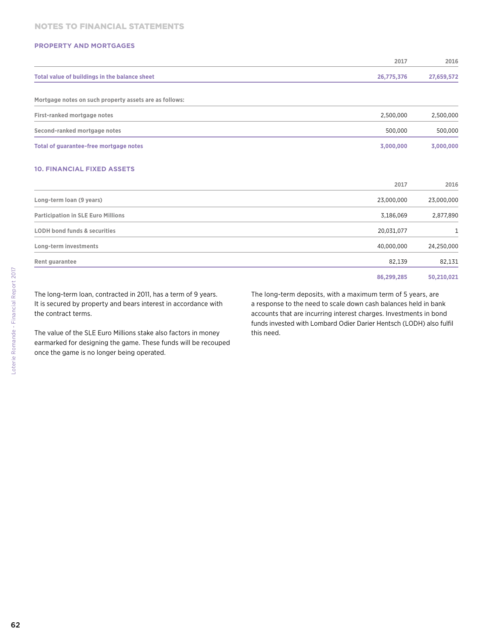#### **PROPERTY AND MORTGAGES**

|                                                        | 2017       | 2016       |
|--------------------------------------------------------|------------|------------|
| Total value of buildings in the balance sheet          | 26,775,376 | 27,659,572 |
| Mortgage notes on such property assets are as follows: |            |            |
| First-ranked mortgage notes                            | 2,500,000  | 2,500,000  |
| Second-ranked mortgage notes                           | 500,000    | 500,000    |
| <b>Total of guarantee-free mortgage notes</b>          | 3,000,000  | 3,000,000  |
| <b>10. FINANCIAL FIXED ASSETS</b>                      |            |            |
|                                                        | 2017       | 2016       |
| Long-term loan (9 years)                               | 23,000,000 | 23,000,000 |
| <b>Participation in SLE Euro Millions</b>              | 3,186,069  | 2,877,890  |
| <b>LODH bond funds &amp; securities</b>                | 20,031,077 | 1          |
| Long-term investments                                  | 40,000,000 | 24,250,000 |
| <b>Rent guarantee</b>                                  | 82,139     | 82,131     |

 **86,299,285 50,210,021**

The long-term loan, contracted in 2011, has a term of 9 years. It is secured by property and bears interest in accordance with the contract terms.

The value of the SLE Euro Millions stake also factors in money earmarked for designing the game. These funds will be recouped once the game is no longer being operated.

The long-term deposits, with a maximum term of 5 years, are a response to the need to scale down cash balances held in bank accounts that are incurring interest charges. Investments in bond funds invested with Lombard Odier Darier Hentsch (LODH) also fulfil this need.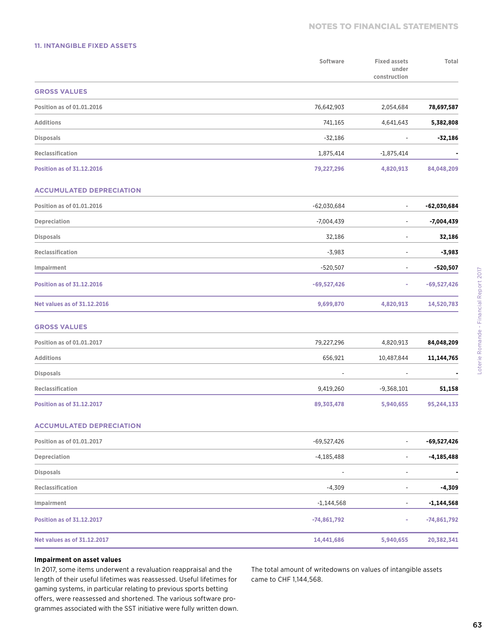#### **11. INTANGIBLE FIXED ASSETS**

|                                    | Software                     | <b>Fixed assets</b><br>under<br>construction | Total         |
|------------------------------------|------------------------------|----------------------------------------------|---------------|
| <b>GROSS VALUES</b>                |                              |                                              |               |
| Position as of 01.01.2016          | 76,642,903                   | 2,054,684                                    | 78,697,587    |
| <b>Additions</b>                   | 741,165                      | 4,641,643                                    | 5,382,808     |
| <b>Disposals</b>                   | $-32,186$                    |                                              | $-32,186$     |
| Reclassification                   | 1,875,414                    | $-1,875,414$                                 |               |
| <b>Position as of 31.12.2016</b>   | 79,227,296                   | 4,820,913                                    | 84,048,209    |
| <b>ACCUMULATED DEPRECIATION</b>    |                              |                                              |               |
| Position as of 01.01.2016          | $-62,030,684$                | ٠                                            | $-62,030,684$ |
| <b>Depreciation</b>                | $-7,004,439$                 |                                              | $-7,004,439$  |
| <b>Disposals</b>                   | 32,186                       |                                              | 32,186        |
| Reclassification                   | $-3,983$                     |                                              | $-3,983$      |
| Impairment                         | $-520,507$                   | $\overline{a}$                               | $-520,507$    |
| <b>Position as of 31.12.2016</b>   | $-69,527,426$                | ٠                                            | $-69,527,426$ |
| <b>Net values as of 31.12.2016</b> | 9,699,870                    | 4,820,913                                    | 14,520,783    |
| <b>GROSS VALUES</b>                |                              |                                              |               |
| Position as of 01.01.2017          | 79,227,296                   | 4,820,913                                    | 84,048,209    |
| <b>Additions</b>                   | 656,921                      | 10,487,844                                   | 11,144,765    |
| <b>Disposals</b>                   | $\qquad \qquad \blacksquare$ |                                              |               |
| Reclassification                   | 9,419,260                    | $-9,368,101$                                 | 51,158        |
| <b>Position as of 31.12.2017</b>   | 89,303,478                   | 5,940,655                                    | 95,244,133    |
| <b>ACCUMULATED DEPRECIATION</b>    |                              |                                              |               |
| Position as of 01.01.2017          | $-69,527,426$                | $\overline{\phantom{a}}$                     | $-69,527,426$ |
| Depreciation                       | $-4,185,488$                 |                                              | $-4,185,488$  |
| <b>Disposals</b>                   |                              | $\blacksquare$                               |               |
| Reclassification                   | $-4,309$                     | $\overline{a}$                               | $-4,309$      |
| Impairment                         | $-1,144,568$                 | $\overline{a}$                               | $-1,144,568$  |
| <b>Position as of 31.12.2017</b>   | $-74,861,792$                | ۰                                            | $-74,861,792$ |
| Net values as of 31.12.2017        | 14,441,686                   | 5,940,655                                    | 20,382,341    |

#### **Impairment on asset values**

In 2017, some items underwent a revaluation reappraisal and the length of their useful lifetimes was reassessed. Useful lifetimes for gaming systems, in particular relating to previous sports betting offers, were reassessed and shortened. The various software programmes associated with the SST initiative were fully written down. The total amount of writedowns on values of intangible assets came to CHF 1,144,568.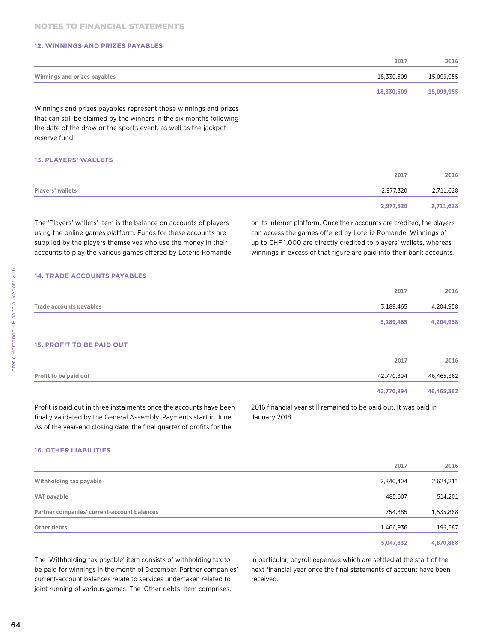#### **12. WINNINGS AND PRIZES PAYABLES**

|                              | 2017       | 2016       |
|------------------------------|------------|------------|
| Winnings and prizes payables | 18,330,509 | 15,099,955 |
|                              | 18,330,509 | 15,099,955 |

Winnings and prizes payables represent those winnings and prizes that can still be claimed by the winners in the six months following the date of the draw or the sports event, as well as the jackpot reserve fund.

#### **13. PLAYERS' WALLETS**

|                  | 2017      | 2016      |
|------------------|-----------|-----------|
| Players' wallets | 2,977,320 | 2,711,628 |
|                  | 2,977,320 | 2,711,628 |

The 'Players' wallets' item is the balance on accounts of players using the online games platform. Funds for these accounts are supplied by the players themselves who use the money in their accounts to play the various games ofered by Loterie Romande on its Internet platform. Once their accounts are credited, the players can access the games offered by Loterie Romande. Winnings of up to CHF 1,000 are directly credited to players' wallets, whereas winnings in excess of that figure are paid into their bank accounts.

#### **14. TRADE ACCOUNTS PAYABLES**

|                         | 2017      | 2016      |
|-------------------------|-----------|-----------|
| Trade accounts payables | 3,189,465 | 4,204,958 |
|                         | 3,189,465 | 4,204,958 |

#### **15. PROFIT TO BE PAID OUT**

|                       | 2017       | 2016       |
|-----------------------|------------|------------|
| Profit to be paid out | 42,770,894 | 46,465,362 |
|                       | 42,770,894 | 46,465,362 |

Profit is paid out in three instalments once the accounts have been finally validated by the General Assembly. Payments start in June. As of the year-end closing date, the final quarter of profits for the

2016 financial year still remained to be paid out. It was paid in January 2018.

#### **16. OTHER LIABILITIES**

|                                             | 2017      | 2016      |
|---------------------------------------------|-----------|-----------|
| Withholding tax payable                     | 2,340,404 | 2,624,211 |
| VAT payable                                 | 485,607   | 514,201   |
| Partner companies' current-account balances | 754,885   | 1,535,868 |
| Other debts                                 | 1,466,936 | 196,587   |
|                                             | 5,047,832 | 4,870,868 |

The 'Withholding tax payable' item consists of withholding tax to be paid for winnings in the month of December. Partner companies' current-account balances relate to services undertaken related to joint running of various games. The 'Other debts' item comprises,

in particular, payroll expenses which are settled at the start of the next financial year once the final statements of account have been received.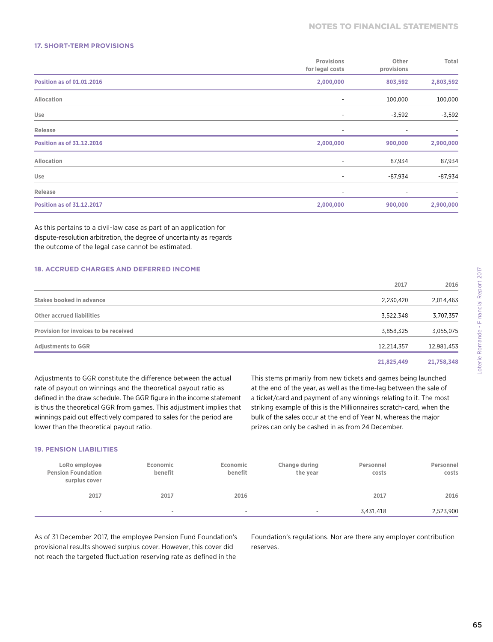#### **17. SHORT-TERM PROVISIONS**

|                                  | <b>Provisions</b><br>for legal costs | Other<br>provisions | Total     |
|----------------------------------|--------------------------------------|---------------------|-----------|
| Position as of 01.01.2016        | 2,000,000                            | 803,592             | 2,803,592 |
| <b>Allocation</b>                |                                      | 100,000             | 100,000   |
| Use                              | $\overline{\phantom{a}}$             | $-3,592$            | $-3,592$  |
| Release                          | $\sim$                               | -                   |           |
| Position as of 31.12.2016        | 2,000,000                            | 900,000             | 2,900,000 |
| Allocation                       |                                      | 87,934              | 87,934    |
| Use                              | ٠                                    | -87,934             | $-87,934$ |
| Release                          | $\sim$                               | ۰                   |           |
| <b>Position as of 31.12.2017</b> | 2,000,000                            | 900,000             | 2,900,000 |

As this pertains to a civil-law case as part of an application for dispute-resolution arbitration, the degree of uncertainty as regards the outcome of the legal case cannot be estimated.

#### **18. ACCRUED CHARGES AND DEFERRED INCOME**

|                                       | 2017       | 2016       |
|---------------------------------------|------------|------------|
| Stakes booked in advance              | 2,230,420  | 2,014,463  |
| <b>Other accrued liabilities</b>      | 3,522,348  | 3,707,357  |
| Provision for invoices to be received | 3,858,325  | 3,055,075  |
| <b>Adjustments to GGR</b>             | 12,214,357 | 12,981,453 |
|                                       | 21,825,449 | 21,758,348 |

Adjustments to GGR constitute the diference between the actual rate of payout on winnings and the theoretical payout ratio as defined in the draw schedule. The GGR figure in the income statement is thus the theoretical GGR from games. This adjustment implies that winnings paid out efectively compared to sales for the period are lower than the theoretical payout ratio.

This stems primarily from new tickets and games being launched at the end of the year, as well as the time-lag between the sale of a ticket/card and payment of any winnings relating to it. The most striking example of this is the Millionnaires scratch-card, when the bulk of the sales occur at the end of Year N, whereas the major prizes can only be cashed in as from 24 December.

#### **19. PENSION LIABILITIES**

| LoRo employee<br><b>Pension Foundation</b><br>surplus cover | Economic<br>benefit | Economic<br>benefit | <b>Change during</b><br>the year | Personnel<br>costs | Personnel<br>costs |
|-------------------------------------------------------------|---------------------|---------------------|----------------------------------|--------------------|--------------------|
| 2017                                                        | 2017                | 2016                |                                  | 2017               | 2016               |
| $\overline{\phantom{a}}$                                    | $\sim$              | $\sim$              | $\overline{\phantom{a}}$         | 3,431,418          | 2,523,900          |

As of 31 December 2017, the employee Pension Fund Foundation's provisional results showed surplus cover. However, this cover did not reach the targeted fluctuation reserving rate as defined in the

Foundation's regulations. Nor are there any employer contribution reserves.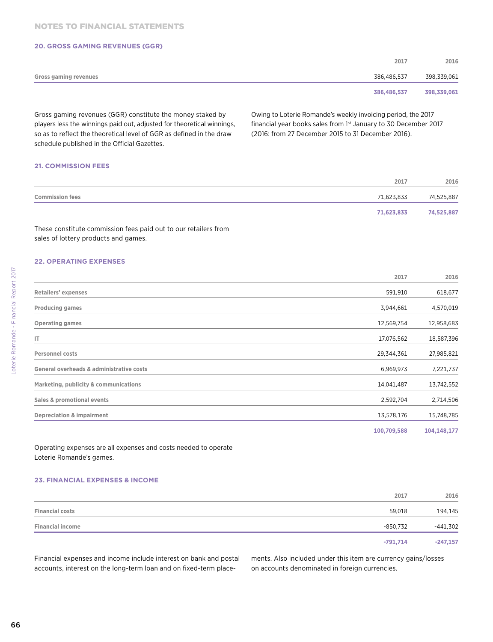#### **20. GROSS GAMING REVENUES (GGR)**

|                              | 2017        | 2016        |
|------------------------------|-------------|-------------|
| <b>Gross gaming revenues</b> | 386,486,537 | 398,339,061 |
|                              | 386,486,537 | 398,339,061 |

Gross gaming revenues (GGR) constitute the money staked by players less the winnings paid out, adjusted for theoretical winnings, so as to reflect the theoretical level of GGR as defined in the draw schedule published in the Official Gazettes.

Owing to Loterie Romande's weekly invoicing period, the 2017 financial year books sales from 1st January to 30 December 2017 (2016: from 27 December 2015 to 31 December 2016).

#### **21. COMMISSION FEES**

|                                                                                                         | 2017        | 2016        |
|---------------------------------------------------------------------------------------------------------|-------------|-------------|
| <b>Commission fees</b>                                                                                  | 71,623,833  | 74,525,887  |
|                                                                                                         | 71,623,833  | 74,525,887  |
| These constitute commission fees paid out to our retailers from<br>sales of lottery products and games. |             |             |
| <b>22. OPERATING EXPENSES</b>                                                                           |             |             |
|                                                                                                         | 2017        | 2016        |
| <b>Retailers' expenses</b>                                                                              | 591,910     | 618,677     |
| <b>Producing games</b>                                                                                  | 3,944,661   | 4,570,019   |
| <b>Operating games</b>                                                                                  | 12,569,754  | 12,958,683  |
| IT.                                                                                                     | 17,076,562  | 18,587,396  |
| <b>Personnel costs</b>                                                                                  | 29,344,361  | 27,985,821  |
| General overheads & administrative costs                                                                | 6,969,973   | 7,221,737   |
| Marketing, publicity & communications                                                                   | 14,041,487  | 13,742,552  |
| Sales & promotional events                                                                              | 2,592,704   | 2,714,506   |
| <b>Depreciation &amp; impairment</b>                                                                    | 13,578,176  | 15,748,785  |
|                                                                                                         | 100,709,588 | 104,148,177 |
| Operating expenses are all expenses and sects peodod to eperate                                         |             |             |

Operating expenses are all expenses and costs needed to operate Loterie Romande's games.

#### **23. FINANCIAL EXPENSES & INCOME**

|                         | 2017       | 2016       |
|-------------------------|------------|------------|
| <b>Financial costs</b>  | 59,018     | 194,145    |
| <b>Financial income</b> | -850,732   | $-441,302$ |
|                         | $-791,714$ | $-247,157$ |

Financial expenses and income include interest on bank and postal accounts, interest on the long-term loan and on fixed-term placements. Also included under this item are currency gains/losses on accounts denominated in foreign currencies.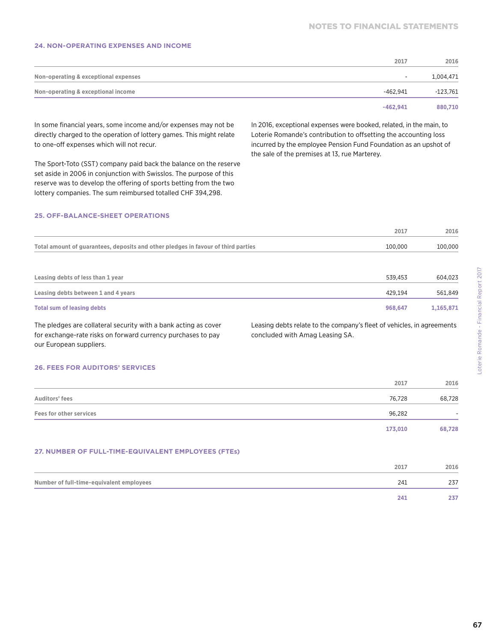#### NOTES TO FINANCIAL STATEMENTS

#### **24. NON-OPERATING EXPENSES AND INCOME**

|                                      | 2017       | 2016       |
|--------------------------------------|------------|------------|
| Non-operating & exceptional expenses |            | 1,004,471  |
| Non-operating & exceptional income   | -462.941   | $-123.761$ |
|                                      | $-462.941$ | 880,710    |

In some financial years, some income and/or expenses may not be directly charged to the operation of lottery games. This might relate to one-off expenses which will not recur.

The Sport-Toto (SST) company paid back the balance on the reserve set aside in 2006 in conjunction with Swisslos. The purpose of this reserve was to develop the offering of sports betting from the two lottery companies. The sum reimbursed totalled CHF 394,298.

In 2016, exceptional expenses were booked, related, in the main, to Loterie Romande's contribution to offsetting the accounting loss incurred by the employee Pension Fund Foundation as an upshot of the sale of the premises at 13, rue Marterey.

#### **25. OFF-BALANCE-SHEET OPERATIONS**

|                                                                                   | 2017    | 2016      |
|-----------------------------------------------------------------------------------|---------|-----------|
| Total amount of guarantees, deposits and other pledges in favour of third parties | 100,000 | 100,000   |
| Leasing debts of less than 1 year                                                 | 539,453 | 604,023   |
| Leasing debts between 1 and 4 years                                               | 429,194 | 561,849   |
| <b>Total sum of leasing debts</b>                                                 | 968,647 | 1,165,871 |
|                                                                                   |         |           |

The pledges are collateral security with a bank acting as cover for exchange-rate risks on forward currency purchases to pay our European suppliers.

Leasing debts relate to the company's fleet of vehicles, in agreements concluded with Amag Leasing SA.

#### **26. FEES FOR AUDITORS' SERVICES**

|                         | 2017    | 2016                     |
|-------------------------|---------|--------------------------|
| Auditors' fees          | 76,728  | 68,728                   |
| Fees for other services | 96,282  | $\overline{\phantom{a}}$ |
|                         | 173,010 | 68,728                   |

#### **27. NUMBER OF FULL-TIME-EQUIVALENT EMPLOYEES (FTEs)**

|                                          | 2017 | 2016 |
|------------------------------------------|------|------|
| Number of full-time-equivalent employees | 241  | 237  |
|                                          | 24.  | 237  |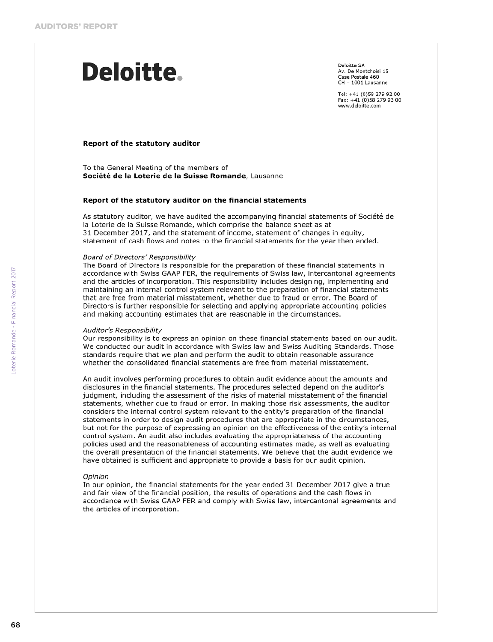## **Deloitte.**

Deloitte SA Av. De Montchoisi 15 Case Postale 460  $CH - 1001$  Lausanne

Tel: +41 (0)58 279 92 00  $Fax: +41(0)582799300$ www.deloitte.com

#### Report of the statutory auditor

To the General Meeting of the members of Société de la Loterie de la Suisse Romande, Lausanne

#### Report of the statutory auditor on the financial statements

As statutory auditor, we have audited the accompanying financial statements of Société de la Loterie de la Suisse Romande, which comprise the balance sheet as at 31 December 2017, and the statement of income, statement of changes in equity, statement of cash flows and notes to the financial statements for the year then ended.

#### **Board of Directors' Responsibility**

The Board of Directors is responsible for the preparation of these financial statements in accordance with Swiss GAAP FER, the requirements of Swiss law, intercantonal agreements and the articles of incorporation. This responsibility includes designing, implementing and maintaining an internal control system relevant to the preparation of financial statements that are free from material misstatement, whether due to fraud or error. The Board of Directors is further responsible for selecting and applying appropriate accounting policies and making accounting estimates that are reasonable in the circumstances.

#### Auditor's Responsibility

Our responsibility is to express an opinion on these financial statements based on our audit. We conducted our audit in accordance with Swiss law and Swiss Auditing Standards. Those standards require that we plan and perform the audit to obtain reasonable assurance whether the consolidated financial statements are free from material misstatement.

An audit involves performing procedures to obtain audit evidence about the amounts and disclosures in the financial statements. The procedures selected depend on the auditor's judgment, including the assessment of the risks of material misstatement of the financial statements, whether due to fraud or error. In making those risk assessments, the auditor considers the internal control system relevant to the entity's preparation of the financial statements in order to design audit procedures that are appropriate in the circumstances, but not for the purpose of expressing an opinion on the effectiveness of the entity's internal control system. An audit also includes evaluating the appropriateness of the accounting policies used and the reasonableness of accounting estimates made, as well as evaluating the overall presentation of the financial statements. We believe that the audit evidence we have obtained is sufficient and appropriate to provide a basis for our audit opinion.

#### Opinion

In our opinion, the financial statements for the year ended 31 December 2017 give a true and fair view of the financial position, the results of operations and the cash flows in accordance with Swiss GAAP FER and comply with Swiss law, intercantonal agreements and the articles of incorporation.